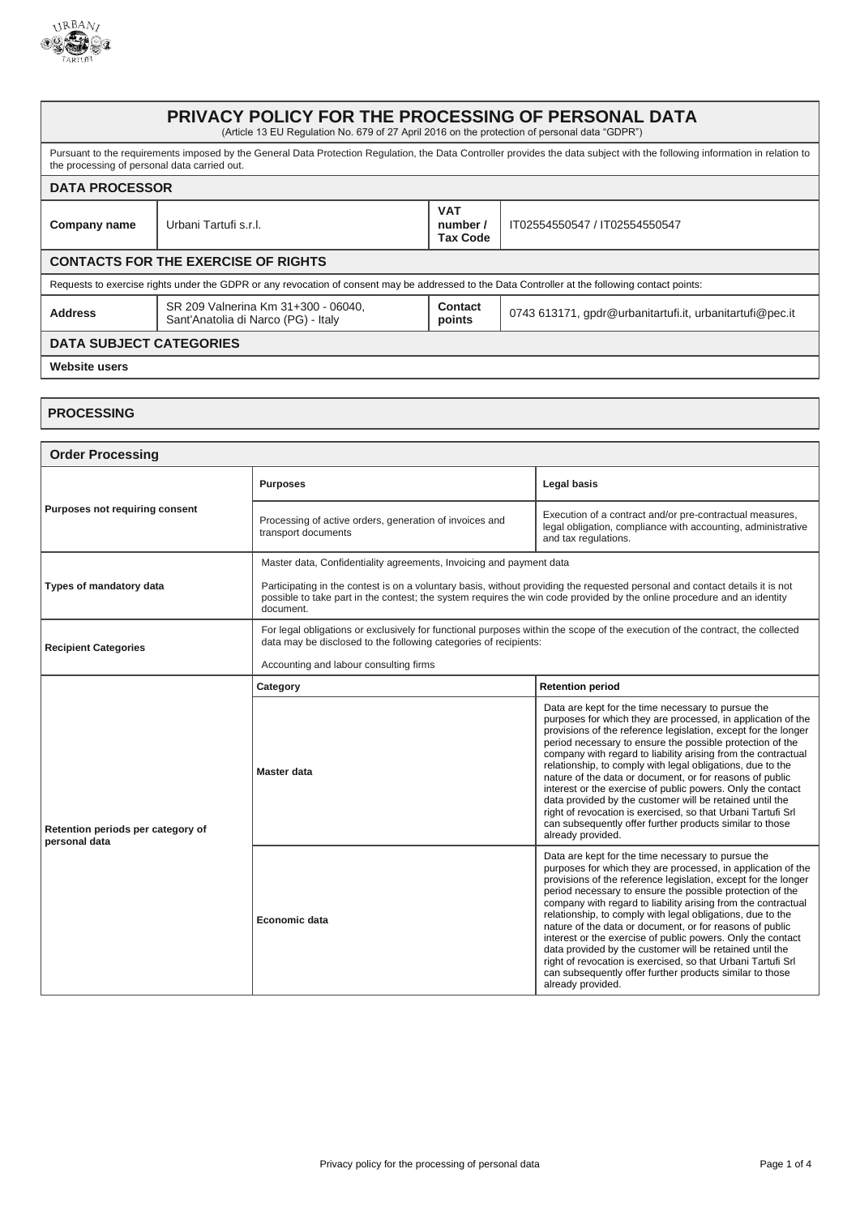

## **PRIVACY POLICY FOR THE PROCESSING OF PERSONAL DATA** (Article 13 EU Regulation No. 679 of 27 April 2016 on the protection of personal data "GDPR") Pursuant to the requirements imposed by the General Data Protection Regulation, the Data Controller provides the data subject with the following information in relation to the processing of personal data carried out. **DATA PROCESSOR Company name** Urbani Tartufi s.r.l. **VAT number / Tax Code** IT02554550547 / IT02554550547 **CONTACTS FOR THE EXERCISE OF RIGHTS** Requests to exercise rights under the GDPR or any revocation of consent may be addressed to the Data Controller at the following contact points: **Address** SR 209 Valnerina Km 31+300 - 06040, Sant'Anatolia di Narco (PG) - Italy **Contact bontact** 0743 613171, gpdr@urbanitartufi.it, urbanitartufi@pec.it **DATA SUBJECT CATEGORIES Website users**

## **PROCESSING**

| <b>Order Processing</b>                            |                                                                                                                                                                                                                                                                      |                                                                                                                                                                                                                                                                                                                                                                                                                                                                                                                                                                                                                                                                                                                          |  |
|----------------------------------------------------|----------------------------------------------------------------------------------------------------------------------------------------------------------------------------------------------------------------------------------------------------------------------|--------------------------------------------------------------------------------------------------------------------------------------------------------------------------------------------------------------------------------------------------------------------------------------------------------------------------------------------------------------------------------------------------------------------------------------------------------------------------------------------------------------------------------------------------------------------------------------------------------------------------------------------------------------------------------------------------------------------------|--|
| Purposes not requiring consent                     | <b>Purposes</b>                                                                                                                                                                                                                                                      | Legal basis                                                                                                                                                                                                                                                                                                                                                                                                                                                                                                                                                                                                                                                                                                              |  |
|                                                    | Processing of active orders, generation of invoices and<br>transport documents                                                                                                                                                                                       | Execution of a contract and/or pre-contractual measures,<br>legal obligation, compliance with accounting, administrative<br>and tax regulations.                                                                                                                                                                                                                                                                                                                                                                                                                                                                                                                                                                         |  |
|                                                    | Master data, Confidentiality agreements, Invoicing and payment data                                                                                                                                                                                                  |                                                                                                                                                                                                                                                                                                                                                                                                                                                                                                                                                                                                                                                                                                                          |  |
| Types of mandatory data                            | Participating in the contest is on a voluntary basis, without providing the requested personal and contact details it is not<br>possible to take part in the contest; the system requires the win code provided by the online procedure and an identity<br>document. |                                                                                                                                                                                                                                                                                                                                                                                                                                                                                                                                                                                                                                                                                                                          |  |
| <b>Recipient Categories</b>                        | For legal obligations or exclusively for functional purposes within the scope of the execution of the contract, the collected<br>data may be disclosed to the following categories of recipients:                                                                    |                                                                                                                                                                                                                                                                                                                                                                                                                                                                                                                                                                                                                                                                                                                          |  |
|                                                    | Accounting and labour consulting firms                                                                                                                                                                                                                               |                                                                                                                                                                                                                                                                                                                                                                                                                                                                                                                                                                                                                                                                                                                          |  |
|                                                    | Category                                                                                                                                                                                                                                                             | <b>Retention period</b>                                                                                                                                                                                                                                                                                                                                                                                                                                                                                                                                                                                                                                                                                                  |  |
| Retention periods per category of<br>personal data | Master data                                                                                                                                                                                                                                                          | Data are kept for the time necessary to pursue the<br>purposes for which they are processed, in application of the<br>provisions of the reference legislation, except for the longer<br>period necessary to ensure the possible protection of the<br>company with regard to liability arising from the contractual<br>relationship, to comply with legal obligations, due to the<br>nature of the data or document, or for reasons of public<br>interest or the exercise of public powers. Only the contact<br>data provided by the customer will be retained until the<br>right of revocation is exercised, so that Urbani Tartufi Srl<br>can subsequently offer further products similar to those<br>already provided. |  |
|                                                    | Economic data                                                                                                                                                                                                                                                        | Data are kept for the time necessary to pursue the<br>purposes for which they are processed, in application of the<br>provisions of the reference legislation, except for the longer<br>period necessary to ensure the possible protection of the<br>company with regard to liability arising from the contractual<br>relationship, to comply with legal obligations, due to the<br>nature of the data or document, or for reasons of public<br>interest or the exercise of public powers. Only the contact<br>data provided by the customer will be retained until the<br>right of revocation is exercised, so that Urbani Tartufi Srl<br>can subsequently offer further products similar to those<br>already provided. |  |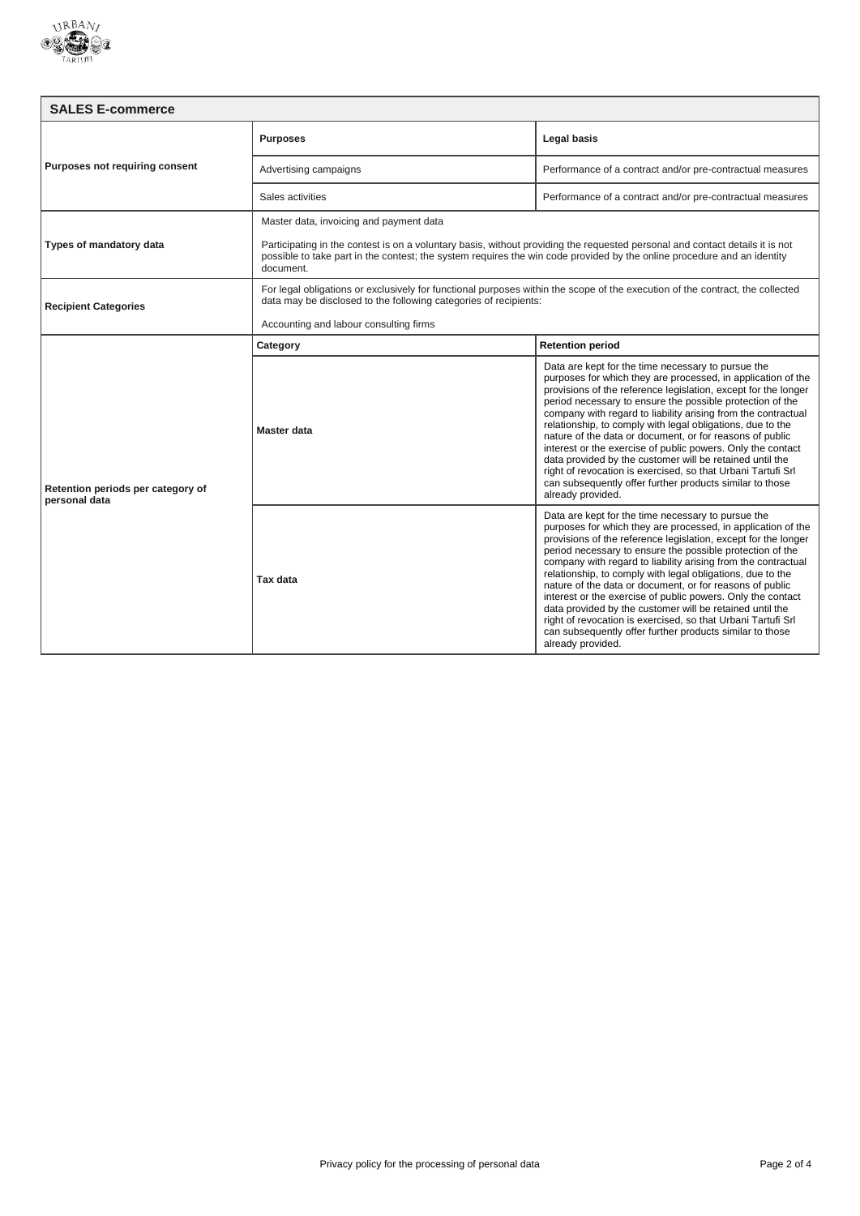

| <b>SALES E-commerce</b>                            |                                                                                                                                                                                                                                                                      |                                                                                                                                                                                                                                                                                                                                                                                                                                                                                                                                                                                                                                                                                                                          |  |  |
|----------------------------------------------------|----------------------------------------------------------------------------------------------------------------------------------------------------------------------------------------------------------------------------------------------------------------------|--------------------------------------------------------------------------------------------------------------------------------------------------------------------------------------------------------------------------------------------------------------------------------------------------------------------------------------------------------------------------------------------------------------------------------------------------------------------------------------------------------------------------------------------------------------------------------------------------------------------------------------------------------------------------------------------------------------------------|--|--|
| Purposes not requiring consent                     | <b>Purposes</b>                                                                                                                                                                                                                                                      | Legal basis                                                                                                                                                                                                                                                                                                                                                                                                                                                                                                                                                                                                                                                                                                              |  |  |
|                                                    | Advertising campaigns                                                                                                                                                                                                                                                | Performance of a contract and/or pre-contractual measures                                                                                                                                                                                                                                                                                                                                                                                                                                                                                                                                                                                                                                                                |  |  |
|                                                    | Sales activities                                                                                                                                                                                                                                                     | Performance of a contract and/or pre-contractual measures                                                                                                                                                                                                                                                                                                                                                                                                                                                                                                                                                                                                                                                                |  |  |
| Types of mandatory data                            | Master data, invoicing and payment data                                                                                                                                                                                                                              |                                                                                                                                                                                                                                                                                                                                                                                                                                                                                                                                                                                                                                                                                                                          |  |  |
|                                                    | Participating in the contest is on a voluntary basis, without providing the requested personal and contact details it is not<br>possible to take part in the contest; the system requires the win code provided by the online procedure and an identity<br>document. |                                                                                                                                                                                                                                                                                                                                                                                                                                                                                                                                                                                                                                                                                                                          |  |  |
| <b>Recipient Categories</b>                        | For legal obligations or exclusively for functional purposes within the scope of the execution of the contract, the collected<br>data may be disclosed to the following categories of recipients:                                                                    |                                                                                                                                                                                                                                                                                                                                                                                                                                                                                                                                                                                                                                                                                                                          |  |  |
|                                                    | Accounting and labour consulting firms                                                                                                                                                                                                                               |                                                                                                                                                                                                                                                                                                                                                                                                                                                                                                                                                                                                                                                                                                                          |  |  |
| Retention periods per category of<br>personal data | Category                                                                                                                                                                                                                                                             | <b>Retention period</b>                                                                                                                                                                                                                                                                                                                                                                                                                                                                                                                                                                                                                                                                                                  |  |  |
|                                                    | Master data                                                                                                                                                                                                                                                          | Data are kept for the time necessary to pursue the<br>purposes for which they are processed, in application of the<br>provisions of the reference legislation, except for the longer<br>period necessary to ensure the possible protection of the<br>company with regard to liability arising from the contractual<br>relationship, to comply with legal obligations, due to the<br>nature of the data or document, or for reasons of public<br>interest or the exercise of public powers. Only the contact<br>data provided by the customer will be retained until the<br>right of revocation is exercised, so that Urbani Tartufi Srl<br>can subsequently offer further products similar to those<br>already provided. |  |  |
|                                                    | Tax data                                                                                                                                                                                                                                                             | Data are kept for the time necessary to pursue the<br>purposes for which they are processed, in application of the<br>provisions of the reference legislation, except for the longer<br>period necessary to ensure the possible protection of the<br>company with regard to liability arising from the contractual<br>relationship, to comply with legal obligations, due to the<br>nature of the data or document, or for reasons of public<br>interest or the exercise of public powers. Only the contact<br>data provided by the customer will be retained until the<br>right of revocation is exercised, so that Urbani Tartufi Srl<br>can subsequently offer further products similar to those<br>already provided. |  |  |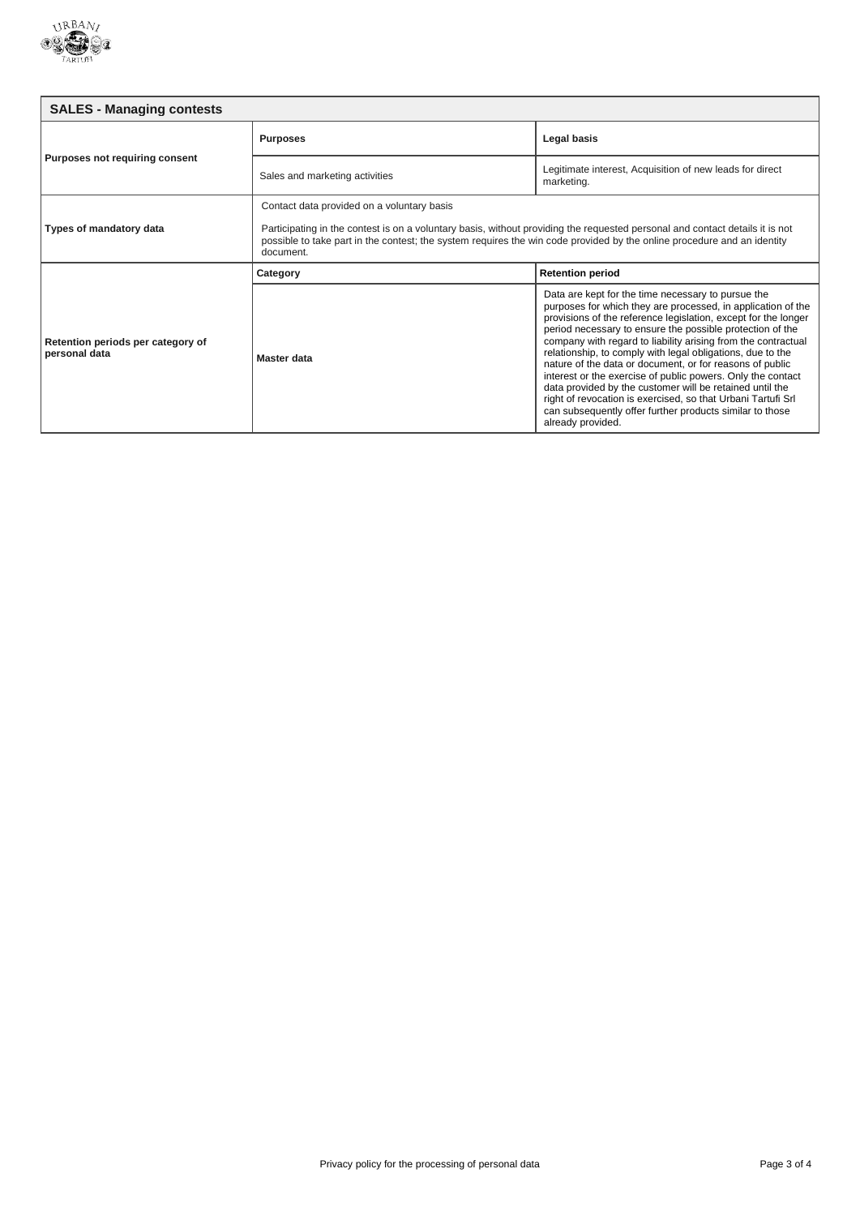

| <b>SALES - Managing contests</b>                   |                                                                                                                                                                                                                                                                                                                    |                                                                                                                                                                                                                                                                                                                                                                                                                                                                                                                                                                                                                                         |  |
|----------------------------------------------------|--------------------------------------------------------------------------------------------------------------------------------------------------------------------------------------------------------------------------------------------------------------------------------------------------------------------|-----------------------------------------------------------------------------------------------------------------------------------------------------------------------------------------------------------------------------------------------------------------------------------------------------------------------------------------------------------------------------------------------------------------------------------------------------------------------------------------------------------------------------------------------------------------------------------------------------------------------------------------|--|
| Purposes not requiring consent                     | <b>Purposes</b>                                                                                                                                                                                                                                                                                                    | Legal basis                                                                                                                                                                                                                                                                                                                                                                                                                                                                                                                                                                                                                             |  |
|                                                    | Sales and marketing activities                                                                                                                                                                                                                                                                                     | Legitimate interest, Acquisition of new leads for direct<br>marketing.                                                                                                                                                                                                                                                                                                                                                                                                                                                                                                                                                                  |  |
| Types of mandatory data                            | Contact data provided on a voluntary basis<br>Participating in the contest is on a voluntary basis, without providing the requested personal and contact details it is not<br>possible to take part in the contest; the system requires the win code provided by the online procedure and an identity<br>document. |                                                                                                                                                                                                                                                                                                                                                                                                                                                                                                                                                                                                                                         |  |
| Retention periods per category of<br>personal data | Category                                                                                                                                                                                                                                                                                                           | <b>Retention period</b>                                                                                                                                                                                                                                                                                                                                                                                                                                                                                                                                                                                                                 |  |
|                                                    | Master data                                                                                                                                                                                                                                                                                                        | Data are kept for the time necessary to pursue the<br>purposes for which they are processed, in application of the<br>provisions of the reference legislation, except for the longer<br>period necessary to ensure the possible protection of the<br>company with regard to liability arising from the contractual<br>relationship, to comply with legal obligations, due to the<br>nature of the data or document, or for reasons of public<br>interest or the exercise of public powers. Only the contact<br>data provided by the customer will be retained until the<br>right of revocation is exercised, so that Urbani Tartufi Srl |  |